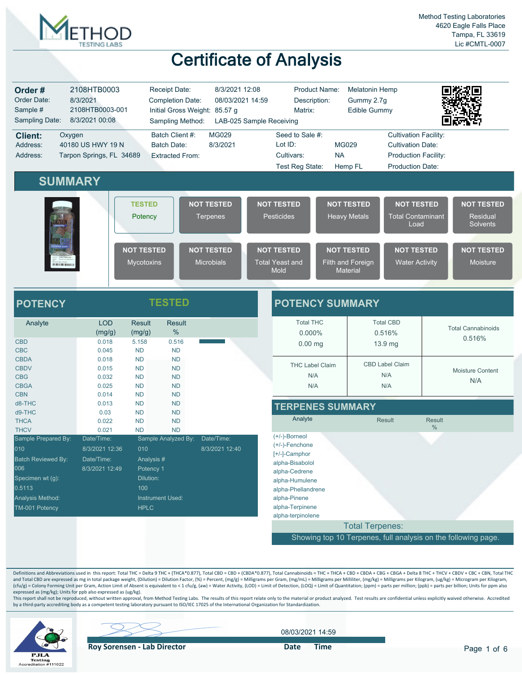

| Order#<br>Order Date:<br>Sample #<br>Sampling Date:                                                                                        | 2108HTB0003<br>8/3/2021<br>2108HTB0003-001<br>8/3/2021 00:08          | Receipt Date:<br><b>Completion Date:</b><br>Initial Gross Weight: 85.57 g<br>Sampling Method:                                         | 8/3/2021 12:08<br>08/03/2021 14:59     | Product Name:<br>Description:<br>Matrix:<br>LAB-025 Sample Receiving                                                                                                                       | <b>Melatonin Hemp</b><br>Gummy 2.7g<br><b>Edible Gummy</b> |                                                                                                                    |                                                               |
|--------------------------------------------------------------------------------------------------------------------------------------------|-----------------------------------------------------------------------|---------------------------------------------------------------------------------------------------------------------------------------|----------------------------------------|--------------------------------------------------------------------------------------------------------------------------------------------------------------------------------------------|------------------------------------------------------------|--------------------------------------------------------------------------------------------------------------------|---------------------------------------------------------------|
| <b>Client:</b><br>Address:<br>Address:                                                                                                     | Oxygen<br>40180 US HWY 19 N<br>Tarpon Springs, FL 34689               | Batch Client #:<br><b>Batch Date:</b><br><b>Extracted From:</b>                                                                       | <b>MG029</b><br>8/3/2021               | Seed to Sale #:<br>Lot ID:<br>Cultivars:<br>Test Reg State:                                                                                                                                | <b>MG029</b><br><b>NA</b><br>Hemp FL                       | <b>Cultivation Facility:</b><br><b>Cultivation Date:</b><br><b>Production Facility:</b><br><b>Production Date:</b> |                                                               |
|                                                                                                                                            | <b>SUMMARY</b>                                                        | <b>TESTED</b><br>Potency                                                                                                              | <b>NOT TESTED</b><br><b>Terpenes</b>   | <b>NOT TESTED</b><br><b>Pesticides</b>                                                                                                                                                     | <b>NOT TESTED</b><br><b>Heavy Metals</b>                   | <b>NOT TESTED</b><br><b>Total Contaminant</b><br>Load                                                              | <b>NOT TESTED</b><br><b>Residual</b><br><b>Solvents</b>       |
| <b>HERRICH HOLDEN</b>                                                                                                                      |                                                                       | <b>NOT TESTED</b><br><b>Mycotoxins</b>                                                                                                | <b>NOT TESTED</b><br><b>Microbials</b> | <b>NOT TESTED</b><br><b>Total Yeast and</b><br>Mold                                                                                                                                        | <b>NOT TESTED</b><br>Filth and Foreign<br><b>Material</b>  | <b>NOT TESTED</b><br><b>Water Activity</b>                                                                         | <b>NOT TESTED</b><br><b>Moisture</b>                          |
| <b>POTENCY</b>                                                                                                                             |                                                                       | <b>TESTED</b>                                                                                                                         |                                        | <b>POTENCY SUMMARY</b>                                                                                                                                                                     |                                                            |                                                                                                                    |                                                               |
| Analyte<br><b>CBD</b><br><b>CBC</b>                                                                                                        | <b>LOD</b><br>(mg/g)<br>0.018<br>0.045                                | <b>Result</b><br><b>Result</b><br>%<br>(mg/g)<br>5.158<br>0.516<br><b>ND</b><br><b>ND</b>                                             |                                        | <b>Total THC</b><br>0.000%<br>$0.00$ mg                                                                                                                                                    |                                                            | <b>Total CBD</b><br>0.516%<br>13.9 mg                                                                              | <b>Total Cannabinoids</b><br>0.516%                           |
| <b>CBDA</b><br><b>CBDV</b><br><b>CBG</b><br><b>CBGA</b>                                                                                    | 0.018<br>0.015<br>0.032<br>0.025                                      | <b>ND</b><br><b>ND</b><br><b>ND</b><br><b>ND</b><br><b>ND</b><br><b>ND</b><br><b>ND</b><br><b>ND</b>                                  |                                        | <b>THC Label Claim</b><br>N/A<br>N/A                                                                                                                                                       |                                                            | <b>CBD Label Claim</b><br>N/A<br>N/A                                                                               | Moisture Content<br>N/A                                       |
| <b>CBN</b><br>d8-THC<br>d9-THC<br><b>THCA</b>                                                                                              | 0.014<br>0.013<br>0.03<br>0.022                                       | <b>ND</b><br><b>ND</b><br><b>ND</b><br><b>ND</b><br><b>ND</b><br><b>ND</b><br><b>ND</b><br><b>ND</b>                                  |                                        | <b>TERPENES SUMMARY</b><br>Analyte                                                                                                                                                         |                                                            | Result                                                                                                             | <b>Result</b>                                                 |
| <b>THCV</b><br>Sample Prepared By:<br>010<br>Batch Reviewed By:<br>006<br>Specimen wt (g):<br>0.5113<br>Analysis Method:<br>TM-001 Potency | 0.021<br>Date/Time:<br>8/3/2021 12:36<br>Date/Time:<br>8/3/2021 12:49 | <b>ND</b><br><b>ND</b><br>Sample Analyzed By:<br>010<br>Analysis#<br>Potency 1<br>Dilution:<br>100<br>Instrument Used:<br><b>HPLC</b> | Date/Time:<br>8/3/2021 12:40           | $(+/-)$ -Borneol<br>$(+/-)$ -Fenchone<br>[+/-]-Camphor<br>alpha-Bisabolol<br>alpha-Cedrene<br>alpha-Humulene<br>alpha-Phellandrene<br>alpha-Pinene<br>alpha-Terpinene<br>alpha-terpinolene |                                                            |                                                                                                                    | $\%$                                                          |
|                                                                                                                                            |                                                                       |                                                                                                                                       |                                        |                                                                                                                                                                                            | <b>Total Terpenes:</b>                                     |                                                                                                                    | Showing top 10 Terpenes, full analysis on the following page. |

Definitions and Abbreviations used in this report: Total THC = Delta 9 THC + (THCA\*0.877), Total CBD = CBD + (CBDA\*0.877), Total Cannabinoids = THC + THCA + CBD + CBD + CBD + CBG + CBG + CBG + Delta 8 THC + THCV + CBDV + C and Total CBD are expressed as mg in total package weight, (Dilution) = Dilution Factor, (%) = Percent, (mg/g) = Milligrams per Gram, (mg/mL) = Milligrams per Milliiter, (mg/kg) = Milligrams per Kilogram, (ug/kg) = Microgr expressed as (mg/kg); Units for ppb also expressed as (ug/kg).

This report shall not be reproduced, without written approval, from Method Testing Labs. The results of this report relate only to the material or product analyzed. Test results are confidential unless explicitly waived ot



08/03/2021 14:59

**Roy Sorensen - Lab Director Date Time**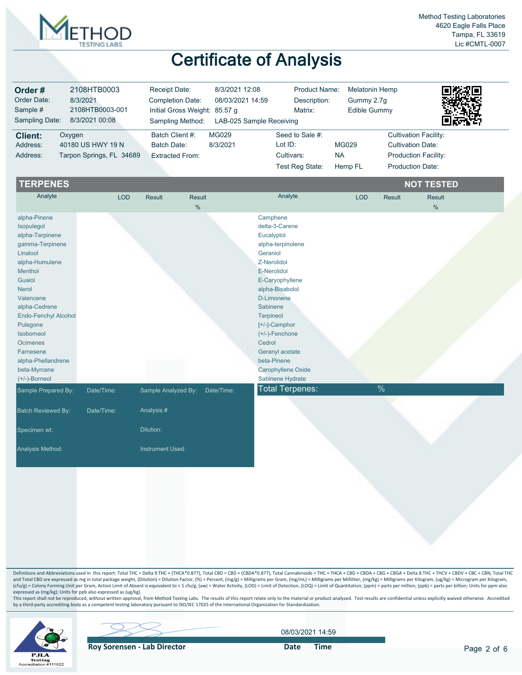

| Order#<br>Order Date:<br>Sample #<br>Sampling Date: | 2108HTB0003<br>8/3/2021<br>2108HTB0003-001<br>8/3/2021 00:08 | Receipt Date:<br><b>Completion Date:</b><br>Initial Gross Weight: 85.57 g<br>Sampling Method: | 8/3/2021 12:08<br>08/03/2021 14:59<br>LAB-025 Sample Receiving | <b>Product Name:</b><br>Description:<br>Matrix: | <b>Melatonin Hemp</b><br>Gummy 2.7q<br>Edible Gummy | 回荡叙回<br>1.ਤਰਦੇਖਿ             |
|-----------------------------------------------------|--------------------------------------------------------------|-----------------------------------------------------------------------------------------------|----------------------------------------------------------------|-------------------------------------------------|-----------------------------------------------------|------------------------------|
| <b>Client:</b>                                      | Oxygen                                                       | Batch Client #:                                                                               | MG029                                                          | Seed to Sale #:                                 |                                                     | <b>Cultivation Facility:</b> |
| Address:                                            | 40180 US HWY 19 N                                            | Batch Date:                                                                                   | 8/3/2021                                                       | Lot ID:                                         | <b>MG029</b>                                        | <b>Cultivation Date:</b>     |
| Address:                                            | Tarpon Springs, FL 34689                                     | <b>Extracted From:</b>                                                                        |                                                                | Cultivars:                                      | <b>NA</b>                                           | <b>Production Facility:</b>  |
|                                                     |                                                              |                                                                                               |                                                                | Test Reg State:                                 | Hemp FL                                             | <b>Production Date:</b>      |

| <b>TERPENES</b>           |            |                     |            |                        |            |               | <b>NOT TESTED</b> |  |
|---------------------------|------------|---------------------|------------|------------------------|------------|---------------|-------------------|--|
| Analyte                   | <b>LOD</b> | <b>Result</b>       | Result     | Analyte                | <b>LOD</b> | <b>Result</b> | <b>Result</b>     |  |
|                           |            |                     | %          |                        |            |               | $\frac{9}{6}$     |  |
| alpha-Pinene              |            |                     |            | Camphene               |            |               |                   |  |
| Isopulegol                |            |                     |            | delta-3-Carene         |            |               |                   |  |
| alpha-Terpinene           |            |                     |            | Eucalyptol             |            |               |                   |  |
| gamma-Terpinene           |            |                     |            | alpha-terpinolene      |            |               |                   |  |
| Linalool                  |            |                     |            | Geraniol               |            |               |                   |  |
| alpha-Humulene            |            |                     |            | Z-Nerolidol            |            |               |                   |  |
| Menthol                   |            |                     |            | E-Nerolidol            |            |               |                   |  |
| Guaiol                    |            |                     |            | E-Caryophyllene        |            |               |                   |  |
| <b>Nerol</b>              |            |                     |            | alpha-Bisabolol        |            |               |                   |  |
| Valencene                 |            |                     |            | D-Limonene             |            |               |                   |  |
| alpha-Cedrene             |            |                     |            | Sabinene               |            |               |                   |  |
| Endo-Fenchyl Alcohol      |            |                     |            | <b>Terpineol</b>       |            |               |                   |  |
| Pulegone                  |            |                     |            | [+/-]-Camphor          |            |               |                   |  |
| Isoborneol                |            |                     |            | $(+/-)$ -Fenchone      |            |               |                   |  |
| Ocimenes                  |            |                     |            | Cedrol                 |            |               |                   |  |
| Farnesene                 |            |                     |            | Geranyl acetate        |            |               |                   |  |
| alpha-Phellandrene        |            |                     |            | beta-Pinene            |            |               |                   |  |
| beta-Myrcene              |            |                     |            | Carophyllene Oxide     |            |               |                   |  |
| $(+/-)$ -Borneol          |            |                     |            | Sabinene Hydrate       |            |               |                   |  |
| Sample Prepared By:       | Date/Time: | Sample Analyzed By: | Date/Time: | <b>Total Terpenes:</b> |            | $\frac{0}{0}$ |                   |  |
|                           |            |                     |            |                        |            |               |                   |  |
| <b>Batch Reviewed By:</b> | Date/Time: | Analysis #          |            |                        |            |               |                   |  |
| Specimen wt:              |            | Dilution:           |            |                        |            |               |                   |  |
| Analysis Method:          |            | Instrument Used:    |            |                        |            |               |                   |  |
|                           |            |                     |            |                        |            |               |                   |  |

Definitions and Abbreviations used in this report: Total THC = Delta 9 THC + (THCA\*0.877), Total CBD = CBD + (CBDA\*0.877), Total Cannabinoids = THC + THCA + CBD + CBDA + CBGA + CBGA + Delta 8 THC + THCV + CBDV + CBC + CBN, and Total CBD are expressed as mg in total package weight, (Dilution) = Dilution Factor, (%) = Percent, (mg/g) = Milligrams per Gram, (mg/mL) = Milligrams per Milliiter, (mg/kg) = Milligrams per Kilogram, (ug/kg) = Microgr expressed as (mg/kg); Units for ppb also expressed as (ug/kg).

This report shall not be reproduced, without written approval, from Method Testing Labs. The results of this report relate only to the material or product analyzed. Test results are confidential unless explicitly waived ot



08/03/2021 14:59

**Roy Sorensen - Lab Director** Date Time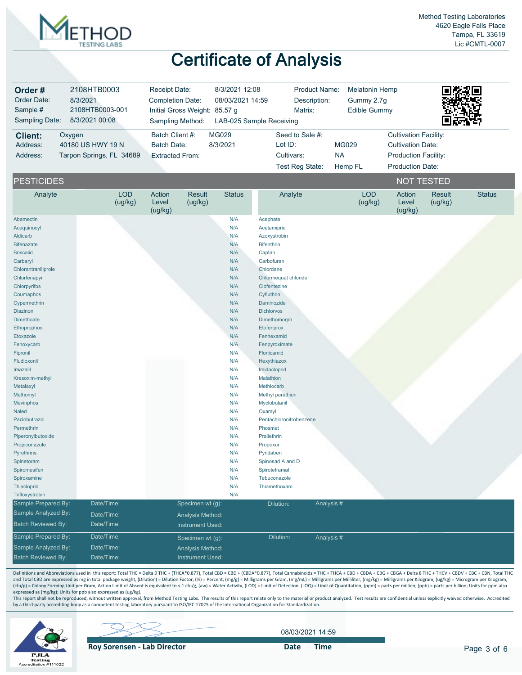

| Order#<br>Order Date:<br>Sample #<br>Sampling Date:                                                                                                                                                                                                                                                                                                                                                                                                                                                                                                                              | 2108HTB0003<br>8/3/2021<br>2108HTB0003-001<br>8/3/2021 00:08 | Receipt Date:<br>Completion Date:<br>Initial Gross Weight: 85.57 g<br>Sampling Method: | 8/3/2021 12:08<br>08/03/2021 14:59<br>LAB-025 Sample Receiving                                                                                                                                                                             | <b>Product Name:</b><br>Description:<br>Matrix:                                                                                                                                                                                                                                                                                                                                                                                                                                                                                                             | <b>Melatonin Hemp</b><br>Gummy 2.7g<br><b>Edible Gummy</b> |                                                                                                             |                          |               |
|----------------------------------------------------------------------------------------------------------------------------------------------------------------------------------------------------------------------------------------------------------------------------------------------------------------------------------------------------------------------------------------------------------------------------------------------------------------------------------------------------------------------------------------------------------------------------------|--------------------------------------------------------------|----------------------------------------------------------------------------------------|--------------------------------------------------------------------------------------------------------------------------------------------------------------------------------------------------------------------------------------------|-------------------------------------------------------------------------------------------------------------------------------------------------------------------------------------------------------------------------------------------------------------------------------------------------------------------------------------------------------------------------------------------------------------------------------------------------------------------------------------------------------------------------------------------------------------|------------------------------------------------------------|-------------------------------------------------------------------------------------------------------------|--------------------------|---------------|
| <b>Client:</b><br>Address:<br>Address:                                                                                                                                                                                                                                                                                                                                                                                                                                                                                                                                           | Oxygen<br>40180 US HWY 19 N<br>Tarpon Springs, FL 34689      | Batch Client #:<br><b>Batch Date:</b><br><b>Extracted From:</b>                        | <b>MG029</b><br>8/3/2021                                                                                                                                                                                                                   | Seed to Sale #:<br>Lot ID:<br>Cultivars:<br>Test Reg State:                                                                                                                                                                                                                                                                                                                                                                                                                                                                                                 | <b>MG029</b><br><b>NA</b><br>Hemp FL                       | <b>Cultivation Facility:</b><br><b>Cultivation Date:</b><br>Production Facility:<br><b>Production Date:</b> |                          |               |
| <b>PESTICIDES</b>                                                                                                                                                                                                                                                                                                                                                                                                                                                                                                                                                                |                                                              |                                                                                        |                                                                                                                                                                                                                                            |                                                                                                                                                                                                                                                                                                                                                                                                                                                                                                                                                             |                                                            | <b>NOT TESTED</b>                                                                                           |                          |               |
| Analyte                                                                                                                                                                                                                                                                                                                                                                                                                                                                                                                                                                          | <b>LOD</b><br>(ug/kg)                                        | Action<br>Result<br>Level<br>(ug/kg)<br>(ug/kg)                                        | <b>Status</b>                                                                                                                                                                                                                              | Analyte                                                                                                                                                                                                                                                                                                                                                                                                                                                                                                                                                     | <b>LOD</b><br>(ug/kg)                                      | Action<br>Level<br>(ug/kg)                                                                                  | <b>Result</b><br>(ug/kg) | <b>Status</b> |
| Abamectin<br>Acequinocyl<br>Aldicarb<br><b>Bifenazate</b><br><b>Boscalid</b><br>Carbaryl<br>Chlorantraniliprole<br>Chlorfenapyr<br>Chlorpyrifos<br>Coumaphos<br>Cypermethrin<br><b>Diazinon</b><br>Dimethoate<br>Ethoprophos<br>Etoxazole<br>Fenoxycarb<br>Fipronil<br>Fludioxonil<br>Imazalil<br>Kresoxim-methyl<br>Metalaxyl<br>Methomyl<br>Mevinphos<br>Naled<br>Paclobutrazol<br>Permethrin<br>Piperonylbutoxide<br>Propiconazole<br>Pyrethrins<br>Spinetoram<br>Spiromesifen<br>Spiroxamine<br>Thiacloprid<br>Trifloxystrobin<br>Sample Prepared By:<br>Sample Analyzed By: | Date/Time:<br>Date/Time:                                     | Specimen wt (g):<br>Analysis Method:                                                   | N/A<br>N/A<br>N/A<br>N/A<br>N/A<br>N/A<br>N/A<br>N/A<br>N/A<br>N/A<br>N/A<br>N/A<br>N/A<br>N/A<br>N/A<br>N/A<br>N/A<br>N/A<br>N/A<br>N/A<br>N/A<br>N/A<br>N/A<br>N/A<br>N/A<br>N/A<br>N/A<br>N/A<br>N/A<br>N/A<br>N/A<br>N/A<br>N/A<br>N/A | Acephate<br>Acetamiprid<br>Azoxystrobin<br><b>Bifenthrin</b><br>Captan<br>Carbofuran<br>Chlordane<br>Chlormequat chloride<br>Clofentezine<br>Cyfluthrin<br>Daminozide<br><b>Dichlorvos</b><br>Dimethomorph<br>Etofenprox<br>Fenhexamid<br>Fenpyroximate<br>Flonicamid<br>Hexythiazox<br>Imidacloprid<br>Malathion<br>Methiocarb<br>Methyl parathion<br>Myclobutanil<br>Oxamyl<br>Pentachloronitrobenzene<br>Phosmet<br>Prallethrin<br>Propoxur<br>Pyridaben<br>Spinosad A and D<br>Spirotetramat<br>Tebuconazole<br>Thiamethoxam<br>Analysis #<br>Dilution: |                                                            |                                                                                                             |                          |               |
| <b>Batch Reviewed By:</b><br>Sample Prepared By:                                                                                                                                                                                                                                                                                                                                                                                                                                                                                                                                 | Date/Time:<br>Date/Time:                                     | Instrument Used:<br>Specimen wt (g):                                                   |                                                                                                                                                                                                                                            | Dilution:<br>Analysis#                                                                                                                                                                                                                                                                                                                                                                                                                                                                                                                                      |                                                            |                                                                                                             |                          |               |
| Sample Analyzed By:<br><b>Batch Reviewed By:</b>                                                                                                                                                                                                                                                                                                                                                                                                                                                                                                                                 | Date/Time:<br>Date/Time:                                     | Analysis Method:<br><b>Instrument Used:</b>                                            |                                                                                                                                                                                                                                            |                                                                                                                                                                                                                                                                                                                                                                                                                                                                                                                                                             |                                                            |                                                                                                             |                          |               |

Definitions and Abbreviations used in this report: Total THC = Delta 9 THC + (THCA\*0.877), Total CBD = CBD + (CBDA\*0.877), Total Cannabinoids = THC + THCA + CBD + CBD + CBD + CBG + CBG + CBG + CBCA + Delta 8 THC + THCV + C and Total CBD are expressed as mg in total package weight, (Dilution) = Dilution Factor, (%) = Percent, (mg/g) = Milligrams per Gram, (mg/mL) = Milligrams per Milliiter, (mg/kg) = Milligrams per Kilogram, (ug/kg) = Microgr expressed as (mg/kg); Units for ppb also expressed as (ug/kg).

This report shall not be reproduced, without written approval, from Method Testing Labs. The results of this report relate only to the material or product analyzed. Test results are confidential unless explicitly waived ot



08/03/2021 14:59

**Roy Sorensen - Lab Director Date Time**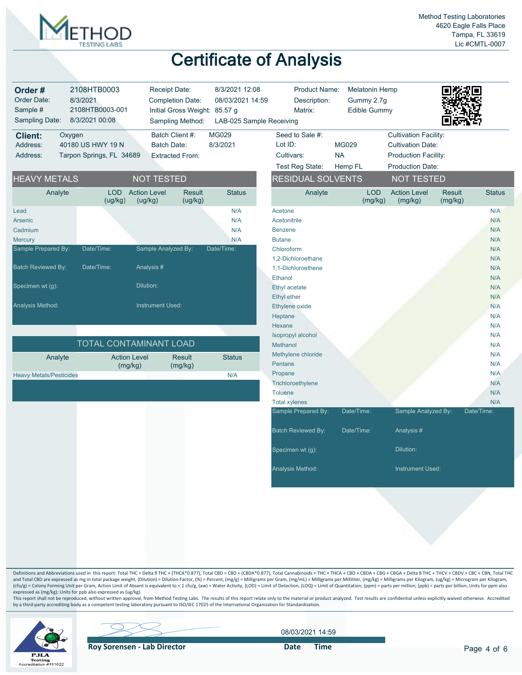

| Order#<br>Order Date:<br>Sample #<br>Sampling Date: | 2108HTB0003<br>8/3/2021<br>2108HTB0003-001<br>8/3/2021 00:08 | Receipt Date:<br><b>Completion Date:</b><br>Sampling Method: | Initial Gross Weight: 85.57 g | 8/3/2021 12:08<br>08/03/2021 14:59<br>LAB-025 Sample Receiving | <b>Product Name:</b><br>Description:<br>Matrix: | <b>Melatonin Hemp</b><br>Gummy 2.7g<br>Edible Gummy |                                |                          |               |
|-----------------------------------------------------|--------------------------------------------------------------|--------------------------------------------------------------|-------------------------------|----------------------------------------------------------------|-------------------------------------------------|-----------------------------------------------------|--------------------------------|--------------------------|---------------|
| <b>Client:</b><br>Oxygen                            |                                                              | Batch Client #:                                              |                               | MG029                                                          | Seed to Sale #:                                 |                                                     | <b>Cultivation Facility:</b>   |                          |               |
| Address:                                            | 40180 US HWY 19 N                                            | <b>Batch Date:</b>                                           |                               | 8/3/2021                                                       | Lot ID:                                         | <b>MG029</b>                                        | <b>Cultivation Date:</b>       |                          |               |
| Address:                                            | Tarpon Springs, FL 34689                                     | <b>Extracted From:</b>                                       |                               |                                                                | Cultivars:                                      | <b>NA</b>                                           | <b>Production Facility:</b>    |                          |               |
|                                                     |                                                              |                                                              |                               |                                                                | Test Reg State:                                 | Hemp FL                                             | <b>Production Date:</b>        |                          |               |
| <b>HEAVY METALS</b>                                 |                                                              | <b>NOT TESTED</b>                                            |                               |                                                                | <b>RESIDUAL SOLVENTS</b>                        |                                                     | <b>NOT TESTED</b>              |                          |               |
| Analyte                                             | <b>LOD</b><br>(ug/kg)                                        | <b>Action Level</b><br>(ug/kg)                               | <b>Result</b><br>(ug/kg)      | <b>Status</b>                                                  | Analyte                                         | <b>LOD</b><br>(mg/kg)                               | <b>Action Level</b><br>(mg/kg) | <b>Result</b><br>(mg/kg) | <b>Status</b> |
| Lead                                                |                                                              |                                                              |                               | N/A                                                            | Acetone                                         |                                                     |                                |                          | N/A           |
| Arsenic                                             |                                                              |                                                              |                               | N/A                                                            | Acetonitrile                                    |                                                     |                                |                          | N/A           |
| Cadmium                                             |                                                              |                                                              |                               | N/A                                                            | <b>Benzene</b>                                  |                                                     |                                |                          | N/A           |
| <b>Mercury</b>                                      |                                                              |                                                              |                               | N/A                                                            | <b>Butane</b>                                   |                                                     |                                |                          | N/A           |
| Sample Prepared By:                                 | Date/Time:                                                   | Sample Analyzed By:                                          |                               | Date/Time:                                                     | Chloroform                                      |                                                     |                                |                          | N/A           |
|                                                     |                                                              |                                                              |                               |                                                                | 1,2-Dichloroethane                              |                                                     |                                |                          | N/A           |
| <b>Batch Reviewed By:</b>                           | Date/Time:                                                   | Analysis #                                                   |                               |                                                                | 1,1-Dichloroethene                              |                                                     |                                |                          | N/A           |
| Specimen wt (g):                                    |                                                              | Dilution:                                                    |                               |                                                                | Ethanol                                         |                                                     |                                |                          | N/A           |
|                                                     |                                                              |                                                              |                               |                                                                | Ethyl acetate                                   |                                                     |                                |                          | N/A           |
| Analysis Method:                                    |                                                              | <b>Instrument Used:</b>                                      |                               |                                                                | <b>Ethyl</b> ether                              |                                                     |                                |                          | N/A<br>N/A    |
|                                                     |                                                              |                                                              |                               |                                                                | Ethylene oxide                                  |                                                     |                                |                          | N/A           |
|                                                     |                                                              |                                                              |                               |                                                                | Heptane<br>Hexane                               |                                                     |                                |                          | N/A           |
|                                                     |                                                              |                                                              |                               |                                                                |                                                 |                                                     |                                |                          | N/A           |
|                                                     | TOTAL CONTAMINANT LOAD                                       |                                                              |                               |                                                                | Isopropyl alcohol<br>Methanol                   |                                                     |                                |                          | N/A           |
|                                                     |                                                              |                                                              |                               |                                                                | Methylene chloride                              |                                                     |                                |                          | N/A           |
| Analyte                                             | <b>Action Level</b>                                          |                                                              | <b>Result</b>                 | <b>Status</b>                                                  | Pentane                                         |                                                     |                                |                          | N/A           |
|                                                     | (mg/kg)                                                      |                                                              | (mg/kg)                       |                                                                | Propane                                         |                                                     |                                |                          | N/A           |
| <b>Heavy Metals/Pesticides</b>                      |                                                              |                                                              |                               | N/A                                                            | Trichloroethylene                               |                                                     |                                |                          | N/A           |
|                                                     |                                                              |                                                              |                               |                                                                | <b>Toluene</b>                                  |                                                     |                                |                          | N/A           |
|                                                     |                                                              |                                                              |                               |                                                                | <b>Total xylenes</b>                            |                                                     |                                |                          | N/A           |
|                                                     |                                                              |                                                              |                               |                                                                | Sample Prepared By:                             | Date/Time:                                          | Sample Analyzed By:            |                          | Date/Time:    |
|                                                     |                                                              |                                                              |                               |                                                                | <b>Batch Reviewed By:</b>                       | Date/Time:                                          | Analysis #                     |                          |               |
|                                                     |                                                              |                                                              |                               |                                                                | Specimen wt (g):                                |                                                     | Dilution:                      |                          |               |
|                                                     |                                                              |                                                              |                               |                                                                | Analysis Method:                                |                                                     | Instrument Used:               |                          |               |
|                                                     |                                                              |                                                              |                               |                                                                |                                                 |                                                     |                                |                          |               |

Definitions and Abbreviations used in this report: Total THC = Delta 9 THC + (THCA\*0.877), Total CBD = CBD + (CBDA\*0.877), Total Cannabinoids = THC + THCA + CBD + CBDA + CBGA + CBGA + Delta 8 THC + THCV + CBDV + CBC + CBN, and Total CBD are expressed as mg in total package weight, (Dilution) = Dilution Factor, (%) = Percent, (mg/g) = Milligrams per Gram, (mg/mL) = Milligrams per Milliiter, (mg/kg) = Milligrams per Kilogram, (ug/kg) = Microgr expressed as (mg/kg); Units for ppb also expressed as (ug/kg).

This report shall not be reproduced, without written approval, from Method Testing Labs. The results of this report relate only to the material or product analyzed. Test results are confidential unless explicitly waived ot



08/03/2021 14:59

**Roy Sorensen - Lab Director Container Solution Container Container Prime**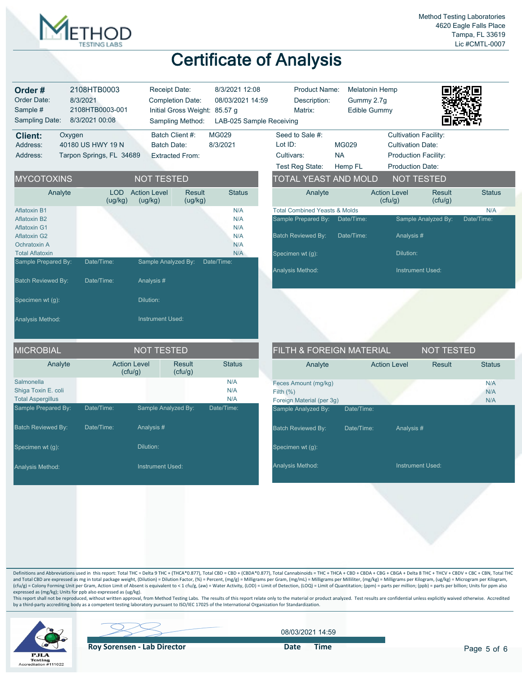

| Order#<br>Order Date:<br>Sample #<br>Sampling Date:                                      | 2108HTB0003<br>8/3/2021<br>2108HTB0003-001<br>8/3/2021 00:08 | Receipt Date:                  | <b>Completion Date:</b><br>Initial Gross Weight: 85.57 g<br>Sampling Method: | 8/3/2021 12:08<br>08/03/2021 14:59<br>LAB-025 Sample Receiving | <b>Product Name:</b><br>Description:<br>Matrix:                                              | <b>Melatonin Hemp</b><br>Gummy 2.7g<br><b>Edible Gummy</b> |                                                                                                                    |                     |                   |
|------------------------------------------------------------------------------------------|--------------------------------------------------------------|--------------------------------|------------------------------------------------------------------------------|----------------------------------------------------------------|----------------------------------------------------------------------------------------------|------------------------------------------------------------|--------------------------------------------------------------------------------------------------------------------|---------------------|-------------------|
| <b>Client:</b><br>Oxygen<br>Address:<br>Address:                                         | 40180 US HWY 19 N<br>Tarpon Springs, FL 34689                | <b>Batch Date:</b>             | Batch Client #:<br><b>Extracted From:</b>                                    | MG029<br>8/3/2021                                              | Seed to Sale #:<br>Lot ID:<br>Cultivars:<br>Test Reg State:                                  | <b>MG029</b><br><b>NA</b><br>Hemp FL                       | <b>Cultivation Facility:</b><br><b>Cultivation Date:</b><br><b>Production Facility:</b><br><b>Production Date:</b> |                     |                   |
| <b>MYCOTOXINS</b>                                                                        |                                                              | <b>NOT TESTED</b>              |                                                                              |                                                                | TOTAL YEAST AND MOLD                                                                         |                                                            | <b>NOT TESTED</b>                                                                                                  |                     |                   |
| Analyte                                                                                  | LOD<br>(ug/kg)                                               | <b>Action Level</b><br>(ug/kg) | <b>Result</b><br>(ug/kg)                                                     | <b>Status</b>                                                  | Analyte                                                                                      |                                                            | <b>Action Level</b><br>(cfu/g)                                                                                     | Result<br>(cfu/g)   | <b>Status</b>     |
| <b>Aflatoxin B1</b><br><b>Aflatoxin B2</b><br><b>Aflatoxin G1</b><br><b>Aflatoxin G2</b> |                                                              |                                |                                                                              | N/A<br>N/A<br>N/A<br>N/A                                       | <b>Total Combined Yeasts &amp; Molds</b><br>Sample Prepared By:<br><b>Batch Reviewed By:</b> | Date/Time:<br>Date/Time:                                   | Analysis#                                                                                                          | Sample Analyzed By: | N/A<br>Date/Time: |
| Ochratoxin A<br><b>Total Aflatoxin</b><br>Sample Prepared By:                            | Date/Time:                                                   | Sample Analyzed By:            |                                                                              | N/A<br>N/A<br>Date/Time:                                       | Specimen wt (g):                                                                             |                                                            | Dilution:                                                                                                          |                     |                   |
| Batch Reviewed By:                                                                       | Date/Time:                                                   | Analysis #                     |                                                                              |                                                                | Analysis Method:                                                                             |                                                            | <b>Instrument Used:</b>                                                                                            |                     |                   |
| Specimen wt (g):                                                                         |                                                              | Dilution:                      |                                                                              |                                                                |                                                                                              |                                                            |                                                                                                                    |                     |                   |
| Analysis Method:                                                                         |                                                              | <b>Instrument Used:</b>        |                                                                              |                                                                |                                                                                              |                                                            |                                                                                                                    |                     |                   |
| <b>MICROBIAL</b>                                                                         |                                                              | <b>NOT TESTED</b>              |                                                                              |                                                                | FILTH & FOREIGN MATERIAL                                                                     |                                                            |                                                                                                                    | <b>NOT TESTED</b>   |                   |
| Analyte                                                                                  |                                                              | <b>Action Level</b><br>(cfu/g) | <b>Result</b><br>(cfu/g)                                                     | <b>Status</b>                                                  | Analyte                                                                                      |                                                            | <b>Action Level</b>                                                                                                | <b>Result</b>       | <b>Status</b>     |
| Salmonella<br>Shiga Toxin E. coli<br><b>Total Aspergillus</b>                            |                                                              |                                |                                                                              | N/A<br>N/A<br>N/A                                              | Feces Amount (mg/kg)<br>Filth $(%)$<br>Foreign Material (per 3g)                             |                                                            |                                                                                                                    |                     | N/A<br>N/A<br>N/A |
| Sample Prepared By:                                                                      | Date/Time:                                                   | Sample Analyzed By:            |                                                                              | Date/Time:                                                     | Sample Analyzed By:                                                                          | Date/Time:                                                 |                                                                                                                    |                     |                   |
| <b>Batch Reviewed By:</b>                                                                | Date/Time:                                                   | Analysis#                      |                                                                              |                                                                | <b>Batch Reviewed By:</b>                                                                    | Date/Time:                                                 | Analysis#                                                                                                          |                     |                   |
| Specimen wt (g):                                                                         |                                                              | Dilution:                      |                                                                              |                                                                | Specimen wt (g):                                                                             |                                                            |                                                                                                                    |                     |                   |
| Analysis Method:                                                                         |                                                              | Instrument Used:               |                                                                              |                                                                | Analysis Method:                                                                             |                                                            | Instrument Used:                                                                                                   |                     |                   |
|                                                                                          |                                                              |                                |                                                                              |                                                                |                                                                                              |                                                            |                                                                                                                    |                     |                   |
|                                                                                          |                                                              |                                |                                                                              |                                                                |                                                                                              |                                                            |                                                                                                                    |                     |                   |

Definitions and Abbreviations used in this report: Total THC = Delta 9 THC + (THCA\*0.877), Total CBD = CBD + (CBDA\*0.877), Total Cannabinoids = THC + THCA + CBD + CBDA + CBGA + CBGA + Delta 8 THC + THCV + CBDV + CBC + CBN, and Total CBD are expressed as mg in total package weight, (Dilution) = Dilution Factor, (%) = Percent, (mg/g) = Milligrams per Gram, (mg/mL) = Milligrams per Milliiter, (mg/kg) = Milligrams per Kilogram, (ug/kg) = Microgr expressed as (mg/kg); Units for ppb also expressed as (ug/kg).

This report shall not be reproduced, without written approval, from Method Testing Labs. The results of this report relate only to the material or product analyzed. Test results are confidential unless explicitly waived ot



**Roy Sorensen - Lab Director** Date Time

08/03/2021 14:59